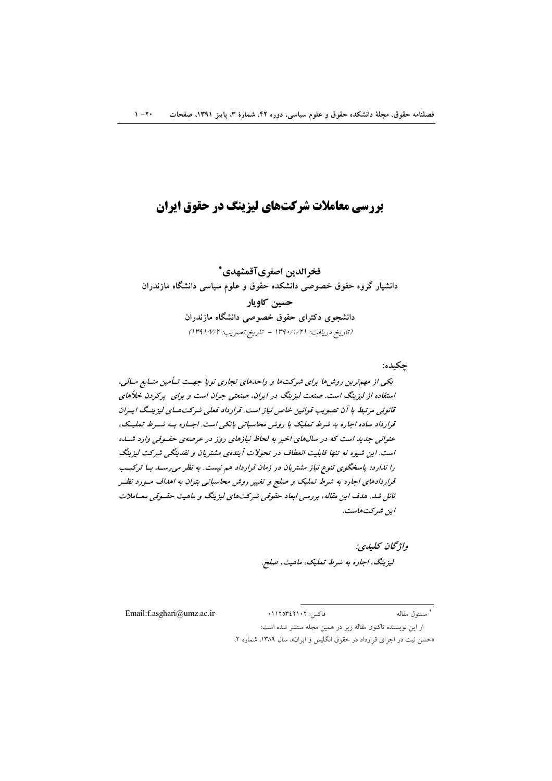# **بررسی معاملات شرکتهای لیزینگ در حقوق ایران**

فخرالدين اصغرىآقمشهدي\* دانشیار گروه حقوق خصوصی دانشکده حقوق و علوم سیاسی دانشگاه مازندران حسين كاويار دانشجوی دکترای حقوق خصوصی دانشگاه مازندران (تاريخ دريافت: ١٣٩٠/١/٢١ - تاريخ تصويت: ١٣٩١/٧/٢)

چکیده:

یکی از مهم ترین روش ها برای شرکت ها و واحدهای تجاری نوپا جهت تـأمین منـابع مـالی، استفاده از لیزینگ است. صنعت لیزینگ در ایران، صنعتی جوان است و برای پرکردن خلأهای قانونی مرتبط با آن تصویب قوانین خاص نیاز است. قرارداد فعلی شرکت هسای لیزینسگ ایسران قرارداد ساده اجاره به شرط تملیک با روش محاسباتی بانکی است. اجساره بـه شـرط تملیـک، عنوانی جدید است که در سالهای اخیر به لحاظ نیازهای روز در عرصهی حقـوقی وارد شــده است. این شیوه نه تنها قابلیت انعطاف در تحولات آیندهی مشتریان و نقدینگی شرکت لیزینگ را ندارد؛ پاسخگوی تنوع نیاز مشتریان در زمان قرارداد هم نیست. به نظر می رسـد بـا ترکیــب قراردادهای اجاره به شرط تملیک و صلح و تغییر روش محاسباتی بتوان به اهداف مسورد نظـر نائل شد. هدف این مقاله، بررسی ابعاد حقوقی شرکتهای لیزینگ و ماهیت حقسوقی معساملات ايين شيركت هاست.

> واۋىچان كىلىدى: لیزینگ، اجاره به شرط تملیک، ماهیت، صلح.

Email:f.asghari@umz.ac.ir

\* مسئول مقاله

از این نویسنده تاکنون مقاله زیر در همین مجله منتشر شده است:

«حسن نیت در اجرای قرارداد در حقوق انگلیس و ایران»، سال ۱۳۸۹، شماره ۲.

فاكس: ١١٢٥٣٤٢١٠٢.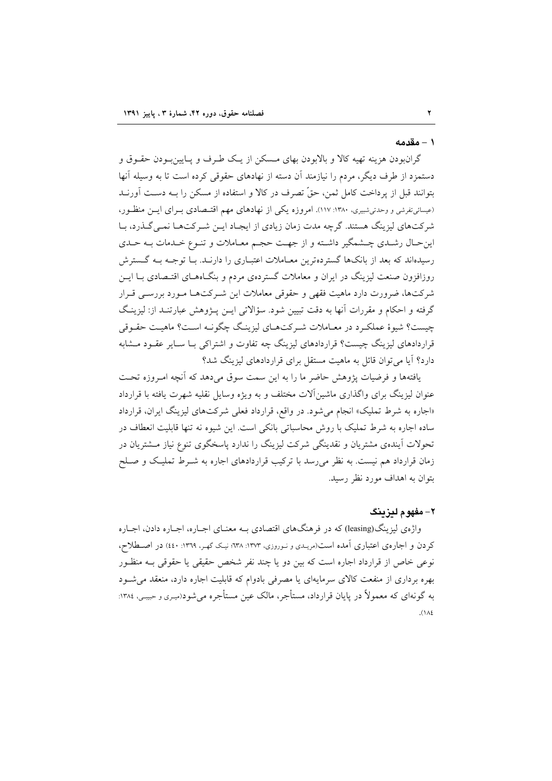## ١ – مقدمه

گرانبودن هزینه تهیه کالا و بالابودن بهای مـسکن از یـک طـرف و پــایین بـودن حقــوق و دستمزد از طرف دیگر، مردم را نیازمند آن دسته از نهادهای حقوقی کرده است تا به وسیله آنها بتوانند قبل از پرداخت کامل ثمن، حقٌّ تصرف در کالا و استفاده از مسکن را بــه دسـت آورنــد (عیسائی تفرشی و وحدتی شبیری، ۱۳۸۰: ۱۱۷). امروزه یکی از نهادهای مهم اقتـصادی بــرای ایــن منظـور، شرکتهای لیزینگ هستند. گرچه مدت زمان زیادی از ایجـاد ایـن شـر کتهـا نمـی گـذرد، بـا این حـال رشـدي چــشمگير داشــته و از جهــت حجـم معــاملات و تنـوع خــدمات بــه حــدي رسیدهاند که بعد از بانکها گستردهترین معـاملات اعتبـاری را دارنــد. بــا توجــه بــه گــسترش روزافزون صنعت لیزینگ در ایران و معاملات گستردهی مردم و بنگـاههـای اقتـصادی بـا ایــن شرکتها، ضرورت دارد ماهیت فقهی و حقوقی معاملات این شـرکتهـا مـورد بررسـی قـرار گرفته و احکام و مقررات آنها به دقت تبیین شود. سؤالاتی ایــن پــژوهش عبارتنــد از: لیزینـگ چیست؟ شیوهٔ عملکرد در معـاملات شـرکتهـای لیزینـگ چگونـه اسـت؟ ماهیـت حقـوقی قراردادهای لیزینگ چیست؟ قراردادهای لیزینگ چه تفاوت و اشتراکی بـا سـایر عقـود مــشابه دارد؟ آیا می توان قائل به ماهیت مستقل برای قراردادهای لیزینگ شد؟

یافتهها و فرضیات پژوهش حاضر ما را به این سمت سوق میدهد که آنچه امـروزه تحـت عنوان لیزینگ برای واگذاری ماشینآلات مختلف و به ویژه وسایل نقلیه شهرت یافته با قرارداد «اجاره به شرط تملیک» انجام می شود. در واقع، قرارداد فعلی شرکتهای لیزینگ ایران، قرارداد ساده اجاره به شرط تملیک با روش محاسباتی بانکی است. این شیوه نه تنها قابلیت انعطاف در تحولات آیندهی مشتریان و نقدینگی شرکت لیزینگ را ندارد پاسخگوی تنوع نیاز مــشتریان در زمان قرارداد هم نیست. به نظر می رسد با ترکیب قراردادهای اجاره به شـرط تملیـک و صـلح بتوان به اهداف مورد نظر رسید.

# ٢- مفهوم ليزينگ

واژهي ليزينگ(leasing) كه در فرهنگهاي اقتصادي بـه معنــاي اجــاره، اجــاره دادن، اجــاره کردن و اجارهی اعتباری آمده است(مریـدی و نـوروزی، ۱۳۷۳: ۱۳۸۸: نیـک گهـر، ۱۳۶۹: ٤٤٠) در اصـطلاح، نوعی خاص از قرارداد اجاره است که بین دو یا چند نفر شخص حقیقی یا حقوقی بـه منظـور بهره برداری از منفعت کالای سرمایهای یا مصرفی بادوام که قابلیت اجاره دارد، منعقد می شـود به گونهای که معمولاً در پایان قرارداد، مستأجر، مالک عین مستأجره می شود(میری و حبیبی، ۱۳۸٤:  $\Lambda$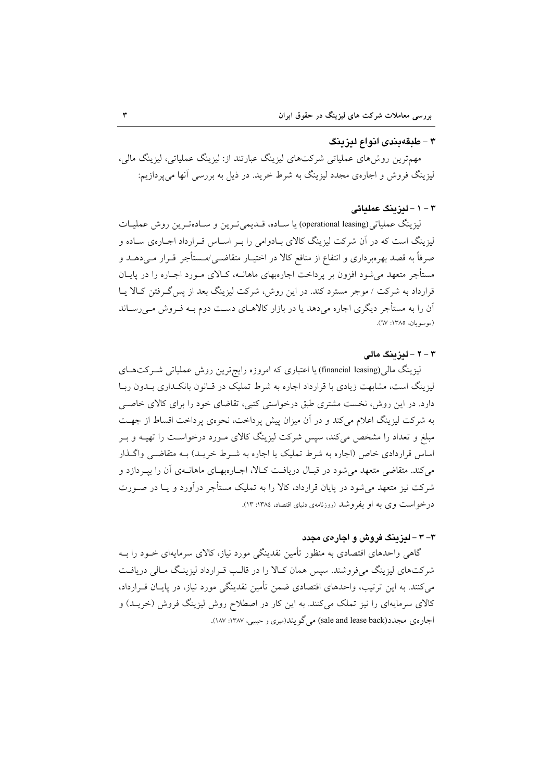#### ۳ - طبقهبندی انواع لیزینگ

مهمترین روشهای عملیاتی شرکتهای لیزینگ عبارتند از: لیزینگ عملیاتی، لیزینگ مالی، لیزینگ فروش و اجارهی مجدد لیزینگ به شرط خرید. در ذیل به بررسی أنها میپردازیم:

## ۳ - ۱ - لىزىنگ عملىاتى

ليزينگ عملياتي(operational leasing) يا ســاده، قــديمي تــرين و ســادهتـرين روش عمليــات لیزینگ است که در آن شرکت لیزینگ کالای بـادوامی را بـر اسـاس قـرارداد اجـارهی سـاده و صرفاً به قصد بهرهبرداری و انتفاع از منافع کالا در اختیـار متقاضــی/مــستأجر قــرار مــی۵هــد و مستأجر متعهد می شود افزون بر پرداخت اجارهبهای ماهانــه، کــالای مــورد اجــاره را در پایــان قرارداد به شرکت / موجر مسترد کند. در این روش، شرکت لیزینگ بعد از پس گرفتن کـالا یـا آن را به مستأجر دیگری اجاره میدهد یا در بازار کالاهــای دســت دوم بــه فــروش مــیرســاند (موسويان، ١٣٨٥: ٦٧).

#### ۳ - ۲ - لیز بنگ مالی

لیزینگ مالی(financial leasing) یا اعتباری که امروزه رایجترین روش عملیاتی شـرکتهـای لیزینگ است، مشابهت زیادی با قرارداد اجاره به شرط تملیک در قـانون بانکـداری بـدون ربـا دارد. در این روش، نخست مشتری طبق درخواستی کتبی، تقاضای خود را برای کالای خاصبی به شرکت لیزینگ اعلام می کند و در آن میزان پیش پرداخت، نحوهی پرداخت اقساط از جهت مبلغ و تعداد را مشخص می کند، سپس شرکت لیزینگ کالای مـورد درخواسـت را تهیــه و بـر اساس قراردادی خاص (اجاره به شرط تملیک یا اجاره به شـرط خریـد) بــه متقاضــی واگــذار می کند. متقاضی متعهد می شود در قبـال دریافـت کـالا، اجـارهبهـای ماهانــهی آن را بیــردازد و شرکت نیز متعهد می شود در پایان قرارداد، کالا را به تملیک مستأجر درآورد و یــا در صــورت درخواست وي به او بفروشد (روزنامهي دنياي اقتصاد، ١٣٨٤: ١٣).

## ۳– ۳ – لیزینگ فروش و اجارهی مجدد

گاهی واحدهای اقتصادی به منظور تأمین نقدینگی مورد نیاز، کالای سرمایهای خــود را بــه شرکتهای لیزینگ میفروشند. سپس همان کـالا را در قالـب قـرارداد لیزینـگ مـالی دریافـت میکنند. به این ترتیب، واحدهای اقتصادی ضمن تأمین نقدینگی مورد نیاز، در پایـان قــرارداد، کالای سرمایهای را نیز تملک میکنند. به این کار در اصطلاح روش لیزینگ فروش (خریــد) و اجاره ی مجدد(sale and lease back) می گو پند(میری و حبیبی، ۱۳۸۷: ۱۸۷).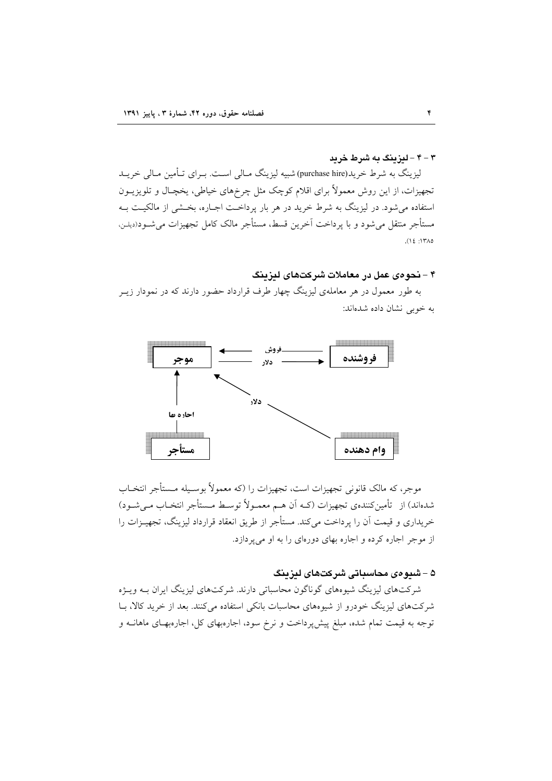۴ - ۴ - لیزینگ به شرط خرید

لیزینگ به شرط خرید(purchase hire) شبیه لیزینگ مـالی اسـت. بـرای تـأمین مـالی خریــد تجهیزات، از این روش معمولاً برای اقلام کوچک مثل چرخهای خیاطی، یخچـال و تلویزیــون استفاده می شود. در لیزینگ به شرط خرید در هر بار پرداخت اجـاره، بخـشی از مالکیـت بـه مستأجر منتقل مى شود و با يرداخت آخرين قسط، مستأجر مالک کامل تجهيزات مى شــود(ديلــن،  $(12.17)$ 

## ۴ - نحوهى عمل در معاملات شركتهاى ليزينگ

به طور معمول در هر معاملهی لیزینگ چهار طرف قرارداد حضور دارند که در نمودار زیــر به خوبی نشان داده شدهاند:



موجر، که مالک قانونی تجهیزات است، تجهیزات را (که معمولاً بوسـیله مـستأجر انتخـاب شدهاند) از تأمینکنندهی تجهیزات (کـه اَن هـم معمـولاً توسـط مـستأجر انتخـاب مـیشـود) خریداری و قیمت آن را برداخت میکند. مستأجر از طریق انعقاد قرارداد لیزینگ، تجهیــزات را از موجر اجاره کرده و اجاره بهای دورهای را به او میپردازد.

# ۵ – شیوهی محاسباتی شرکتهای لیزینگ

شرکتهای لیزینگ شیوههای گوناگون محاسباتی دارند. شرکتهای لیزینگ ایران بـه ویــژه شرکتهای لیزینگ خودرو از شیوههای محاسبات بانکی استفاده میکنند. بعد از خرید کالا، با توجه به قیمت تمام شده، مبلغ پیش پرداخت و نرخ سود، اجارهبهای کل، اجارهبهـای ماهانــه و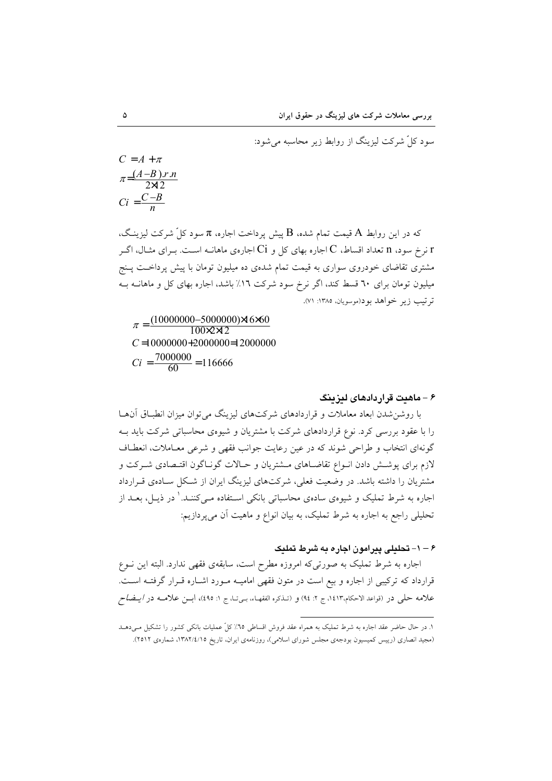$$
C = A + \pi
$$
  

$$
\pi = \frac{(A-B) \cdot r \cdot n}{2 \times 2}
$$
  

$$
Ci = \frac{C-B}{n}
$$

که در این روابط A قیمت تمام شده، B پیش پرداخت اجاره، π سود کلّ شرکت لیزینگ، نرخ سود، n تعداد اقساط، C اجاره بهای کل و Ci اجارهی ماهانــه اسـت. بـرای مثــال، اگــر  $\rm r$ مشتری تقاضای خودروی سواری به قیمت تمام شدهی ده میلیون تومان با پیش پرداخت پـنج میلیون تومان برای ٦٠ قسط کند، اگر نرخ سود شرکت ١٦٪ باشد، اجاره بهای کل و ماهانــه بــه ترتيب زير خواهد بود(موسويان، ١٣٨٥: ٧١).

 $\pi = \frac{(10000000 - 5000000) \times 6 \times 0}{100 \times 2 \times 2}$  $C = 10000000 + 2000000 + 2000000$  $Ci = \frac{7000000}{60} = 116666$ 

#### ۶ – ماهدت قرار دادهای لیزینگ

با روشن شدن ابعاد معاملات و قراردادهای شرکتهای لیزینگ می توان میزان انطباق آنهـا را با عقود بررسی کرد. نوع قراردادهای شرکت با مشتریان و شیوهی محاسباتی شرکت باید بــه گونهای انتخاب و طراحی شوند که در عین رعایت جوانب فقهی و شرعی معـاملات، انعطـاف لازم برای پوشش دادن انبواع تقاضـاهای مــشتریان و حــالات گونــاگون اقتــصادی شــرکت و مشتریان را داشته باشد. در وضعیت فعلی، شرکتهای لیزینگ ایران از شکل سـادهی قـرارداد اجاره به شرط تملیک و شیوهی سادهی محاسباتی بانکی اسـتفاده مـی کننـد. ٰ در ذیــل، بعــد از تحلیلی راجع به اجاره به شرط تملیک، به بیان انواع و ماهیت آن می پردازیم:

۶ – ۱ – تحلیلی پیرامون اجاره به شرط تملیک

اجاره به شرط تملیک به صورتیکه امروزه مطرح است، سابقهی فقهی ندارد. البته این نـوع قرارداد که ترکیبی از اجاره و بیع است در متون فقهی امامیـه مـورد اشـاره قـرار گرفتـه اسـت. علامه حلي در (قواعد الاحكام،١٤١٣ ج ٢: ٩٤) و (تـذكره الفقهـاء، بـيِّتـا، ج ١: ٤٩٥)، أبــن علامــه در *ايــضاح* 

۱. در حال حاضر عقد اجاره به شرط تمليک به همراه عقد فروش اقساطی ٦٥٪ کلّ عمليات بانکی کشور را تشکيل مـیدهــد (مجید انصاری (رییس کمیسیون بودجهی مجلس شورای اسلامی)، روزنامهی ایران، تاریخ ۱۳۸۲/٤/۱۵، شمارهی ۲۵۱۲).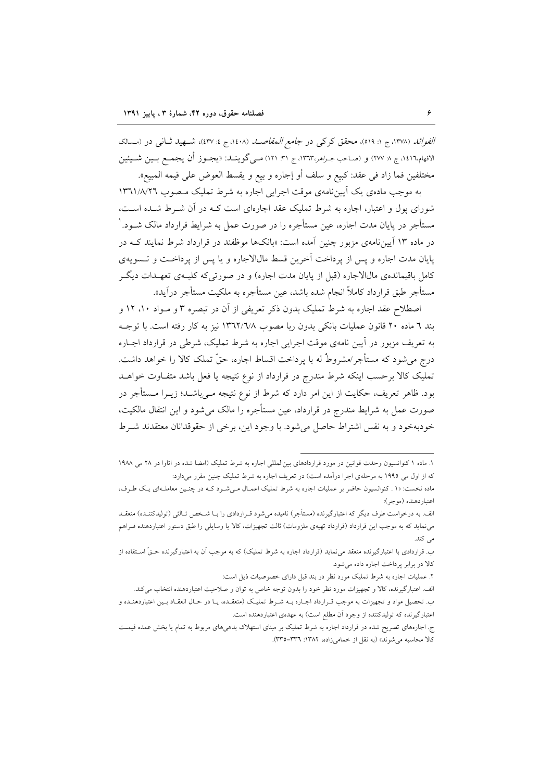*الفوائد (۱*۳۷۸، ج ۱: ۵۱۹)، محقق کرک<sub>ی</sub> در *جامع المقاصلہ (۱٤۰*۸، ج ٤: ٤٣٧)، شــهيد ثــاني در (مـــالک الافهام،١٤١٦، ج ٨ ٢٧٧) و (صاحب *جـواهر*،١٣٦٣، ج ٣١: ١٢١) مـي گوينــد: «يجـوز أن يجمــع بــين شــيئين مختلفين فما زاد في عقد: كبيع و سلف أو إجاره و بيع و يقسط العوض على قيمه المبيع».

به موجب مادهی یک آیین نامهی موقت اجرایی اجاره به شرط تملیک منصوب ۱۳٦۱/٨/۲٦ شورای پول و اعتبار، اجاره به شرط تملیک عقد اجارهای است کـه در آن شـرط شـده اسـت، مستأجر در پایان مدت اجاره، عین مستأجره را در صورت عمل به شرایط قرارداد مالک شــود. ٰ در ماده ۱۳ آیین نامهی مزبور چنین آمده است: «بانکها موظفند در قرارداد شرط نمایند کــه در يايان مدت اجاره و پس از يرداخت آخرين قسط مالالاجاره و يا پس از يرداخت و تــــمويهي کامل باقیماندهی مالالاجاره (قبل از پایان مدت اجاره) و در صورتی که کلیـهی تعهـدات دیگـر مستأجر طبق قرارداد كاملاً انجام شده باشد، عين مستأجره به ملكيت مستأجر درآيد».

اصطلاح عقد اجاره به شرط تملیک بدون ذکر تعریفی از آن در تبصره ۳ و مـواد ۱۰، ۱۲ و بند ٦ ماده ٢٠ قانون عمليات بانكي بدون ربا مصوب ١٣٦٢/٦/٨ نيز به كار رفته است. با توجـه به تعریف مزبور در آیین نامهی موقت اجرایی اجاره به شرط تملیک، شرطی در قرارداد اجــاره درج می شود که مستأجر/مشروطٌ له با پرداخت اقساط اجاره، حقَّ تملک کالا را خواهد داشت. تملیک کالا برحسب اینکه شرط مندرج در قرارداد از نوع نتیجه یا فعل باشد متفـاوت خواهــد بود. ظاهر تعریف، حکایت از این امر دارد که شرط از نوع نتیجه مـیباشــد؛ زیــرا مــستأجر در صورت عمل به شرایط مندرج در قرارداد، عین مستأجره را مالک می شود و این انتقال مالکیت، خودبهخود و به نفس اشتراط حاصل می شود. با وجود این، برخی از حقوقدانان معتقدند شـرط

۱. ماده ۱ کنوانسیون وحدت قوانین در مورد قراردادهای بینالمللی اجاره به شرط تملیک (امضا شده در اتاوا در ۲۸ می ۱۹۸۸ که از اول می ۱۹۹۵ به مرحلهی اجرا درآمده است) در تعریف اجاره به شرط تملیک چنین مقرر می دارد:

ماده نخست: «١ . کنوانسیون حاضر بر عملیات اجاره به شرط تملیک اعمـال مـیشـود کـه در چنـین معاملـهای یـک طـرف، اعتباردهنده (موجر):

الف. به درخواست طرف دیگر که اعتبارگیرنده (مستأجر) نامیده میشود قـراردادی را بـا شـخص ثـالثی (تولیدکننـده) منعقـد می نماید که به موجب این قرارداد (قرارداد تهیهی ملزومات) ثالث تجهیزات، کالا یا وسایلی را طبق دستور اعتباردهنده فـراهم می کند.

ب. قراردادی با اعتبارگیرنده منعقد می نماید (قرارداد اجاره به شرط تملیک) که به موجب آن به اعتبارگیرنده حـقّ اســتفاده از كالا در برابر يرداخت اجاره داده مى شود.

۲. عملیات اجاره به شرط تملیک مورد نظر در بند قبل دارای خصوصیات ذیل است:

الف. اعتبارگیرنده، کالا و تجهیزات مورد نظر خود را بدون توجه خاص به توان و صلاحیت اعتباردهنده انتخاب میکند.

ب. تحصیل مواد و تجهیزات به موجب قـرارداد اجـاره بـه شـرط تملیـک (منعقـده، یـا در حـال انعقـاد بـین اعتباردهنـده و اعتبارگیرنده که تولیدکننده از وجود آن مطلع است) به عهدهی اعتباردهنده است.

ج. اجارههای تصریح شده در قرارداد اجاره به شرط تملیک بر مبنای استهلاک بدهیهای مربوط به تمام یا بخش عمده قیمت كالا محاسبه مى شوند» (به نقل از خمامى زاده، ١٣٨٢: ٣٣٦-٣٣٥).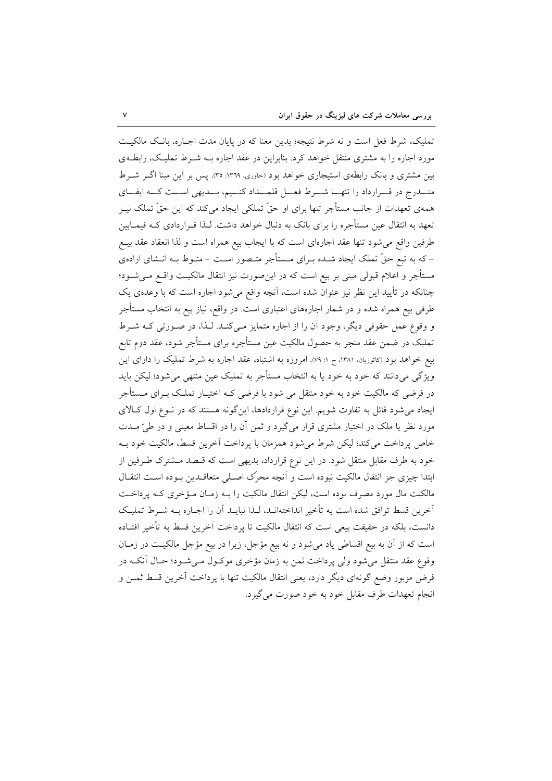تملیک، شرط فعل است و نه شرط نتیجه؛ بدین معنا که در پایان مدت اجـاره، بانـک مالکیـت مورد اجاره را به مشتری منتقل خواهد کرد. بنابراین در عقد اجاره بــه شــرط تملیـک، رابطــهی بین مشتری و بانک رابطهی استیجاری خواهد بود (خاوری، ۱۳۶۹: ۳۵). پس بر این مبنا اگـر شــرط منــدرج در قــرارداد را تنهــا شــرط فعــل قلمــداد كنــيم، بــديهي اســت كــه ايفــاي همهی تعهدات از جانب مستأجر تنها برای او حقّ تملکی ایجاد میکند که این حقّ تملک نیـز تعهد به انتقال عین مستأجره را برای بانک به دنبال خواهد داشت. لـذا قــراردادی کــه فیمــابین طرفین واقع می شود تنها عقد اجارهای است که با ایجاب بیع همراه است و لذا انعقاد عقد بیــع – که به تبع حقّ تملک ایجاد شـده بـرای مـستأجر متـصور اسـت – منـوط بـه انـشای ارادهی مستأجر و اعلام قبولی مبنی بر بیع است که در این صورت نیز انتقال مالکیـت واقــع مــیشــود؛ چنانکه در تأیید این نظر نیز عنوان شده است، آنچه واقع می شود اجاره است که با وعدهی یک طرفی بیع همراه شده و در شمار اجارههای اعتباری است. در واقع، نیاز بیع به انتخاب مستأجر و وقوع عمل حقوقی دیگر، وجود آن را از اجاره متمایز مـیکنـد. لـذا، در صـورتی کـه شـرط تملیک در ضمن عقد منجر به حصول مالکیت عین مستأجره برای مستأجر شود، عقد دوم تابع بیع خواهد بود (کاتوزیان، ۱۳۸۱ ج ۱: ۷۹). امروزه به اشتباه، عقد اجاره به شرط تملیک را دارای این ویژگی میدانند که خود به خود یا به انتخاب مستأجر به تملیک عین منتهی میشود؛ لیکن باید در فرضی که مالکیت خود به خود منتقل می شود با فرضی کـه اختیـار تملـک بــرای مــستأجر ایجاد می شود قائل به تفاوت شویم. این نوع قراردادها، این گونه هستند که در نـوع اول کـالای مورد نظر یا ملک در اختیار مشتری قرار میگیرد و ثمن آن را در اقساط معینی و در طیّ مــدت خاص پرداخت میکند؛ لیکن شرط می شود همزمان با پرداخت آخرین قسط، مالکیت خود بـه خود به طرف مقابل منتقل شود. در این نوع قرارداد، بدیهی است که قـصد مـشترک طـرفین از ابتدا چیزی جز انتقال مالکیت نبوده است و آنچه محرک اصلی متعاقـدین بـوده اسـت انتقـال مالکیت مال مورد مصرف بوده است، لیکن انتقال مالکیت را بـه زمـان مـؤخری کـه پرداخـت آخرین قسط توافق شده است به تأخیر انداختهانـد، لـذا نبایـد اَن را اجـاره بــه شــرط تملیـک دانست، بلكه در حقيقت بيعي است كه انتقال مالكيت تا پرداخت آخرين قسط به تأخير افتـاده است که از آن به بیع اقساطی یاد میشود و نه بیع مؤجل، زیرا در بیع مؤجل مالکیت در زمـان وقوع عقد منتقل می شود ولی پرداخت ثمن به زمان مؤخری موکـول مـی شـود؛ حـال آنکـه در فرض مزبور وضع گونهای دیگر دارد، یعنی انتقال مالکیت تنها با پرداخت آخرین قسط ثمــن و انجام تعهدات طرف مقابل خود به خود صورت مي گيرد.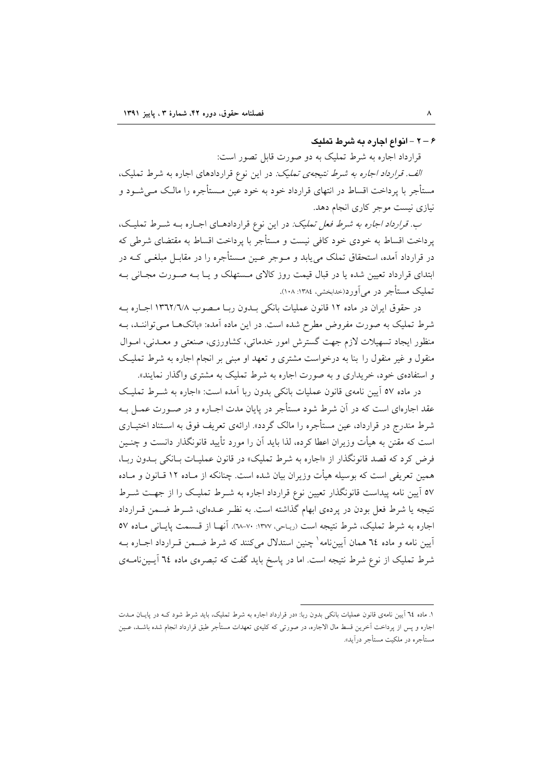۶ – ۲ - انواع اجاره به شرط تملیک

قرارداد اجاره به شرط تملیک به دو صورت قابل تصور است:

الف. قرارداد اجاره به شرط نتيجهى تمليك: در اين نوع قراردادهاى اجاره به شرط تمليك، مستأجر با پرداخت اقساط در انتهای قرارداد خود به خود عین مـستأجره را مالـک مـی شــود و نیازی نیست موجر کاری انجام دهد.

*ب. قرارداد اجاره به شرط فعل تملیک:* در این نوع قراردادهـای اجـاره بــه شــرط تملیـک، یرداخت اقساط به خودی خود کافی نیست و مستأجر با پرداخت اقساط به مقتضای شرطی که در قرارداد آمده، استحقاق تملک می یابد و مــوجر عــین مــستأجره را در مقابــل مبلغــی کــه در ابتدای قرارداد تعیین شده یا در قبال قیمت روز کالای مـستهلک و یـا بـه صـورت مجـانی بـه تملیک مستأجر در مر آورد(حدایخشی، ۱۳۸٤: ۱۰۸).

در حقوق ايران در ماده ١٢ قانون عمليات بانكي بـدون ربـا مـصوب ١٣٦٢/٦/٨ اجـاره بـه شرط تملیک به صورت مفروض مطرح شده است. در این ماده آمده: «بانکهـا مـی تواننـد، بـه منظور ایجاد تسهیلات لازم جهت گسترش امور خدماتی، کشاورزی، صنعتی و معـدنی، امـوال منقول و غیر منقول را بنا به درخواست مشتری و تعهد او مبنی بر انجام اجاره به شرط تملیک و استفادهی خود، خریداری و به صورت اجاره به شرط تملیک به مشتری واگذار نمایند».

در ماده ٥٧ آیین نامهی قانون عملیات بانکی بدون ربا آمده است: «اجاره به شـرط تملیـک عقد اجارهای است که در آن شرط شود مستأجر در پایان مدت اجـاره و در صـورت عمـل بـه شرط مندرج در قرارداد، عین مستأجره را مالک گردد». ارائهی تعریف فوق به اسـتناد اختیــاری است که مقنن به هیأت وزیران اعطا کرده، لذا باید آن را مورد تأیید قانونگذار دانست و چنـین فرض کرد که قصد قانونگذار از «اجاره به شرط تملیک» در قانون عملیـات بـانکی بـدون ربـا، همین تعریفی است که بوسیله هیأت وزیران بیان شده است. چنانکه از مـاده ۱۲ قـانون و مـاده ٥٧ آيين نامه پيداست قانونگذار تعيين نوع قرارداد اجاره به شـرط تمليـک را از جهـت شـرط نتیجه یا شرط فعل بودن در پردهی ابهام گذاشته است. به نظـر عــدهای، شــرط ضــمن قــرارداد اجاره به شرط تملیک، شرط نتیجه است (ریاحی، ۱۳۷۷: ۷۰-۲۸). آنهـا از قـسمت پایـانی مـاده ٥٧ آیین نامه و ماده ۲٤ همان آیینiامه<sup>۱</sup> چنین استدلال میکنند که شرط ضـمن قـرارداد اجـاره بـه شرط تملیک از نوع شرط نتیجه است. اما در پاسخ باید گفت که تبصرهی ماده ۲۵ آیـینiامـهی

۱. ماده ۲۵ آیین نامهی قانون عملیات بانکی بدون ربا: «در قرارداد اجاره به شرط تملیک، باید شرط شود کـه در پایــان مــدت اجاره و پس از پرداخت اَخرین قسط مال الاجاره، در صورتی که کلیهی تعهدات مستأجر طبق قرارداد انجام شده باشـد، عـین مستأجره در ملكيت مستأجر درآيد».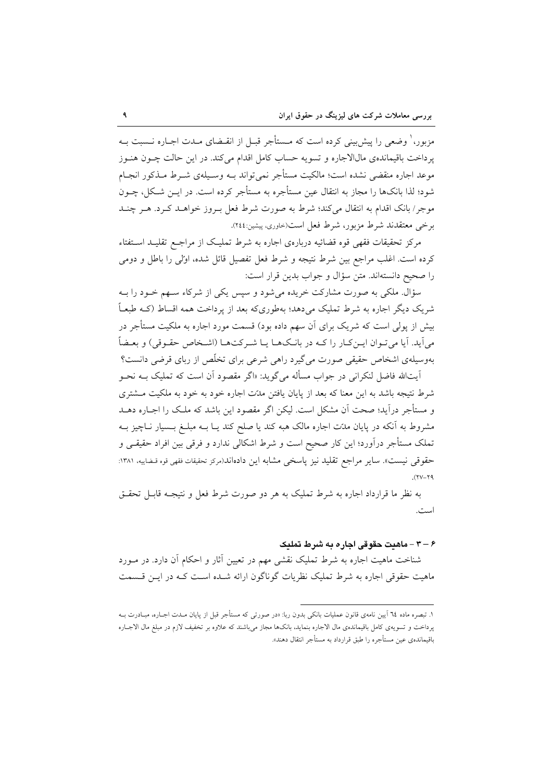مزبور،' وضعی را پیشبینی کرده است که مـستأجر قبــل از انقــضای مــدت اجــاره نــسبت بــه یرداخت باقیماندهی مالالاجاره و تسویه حساب کامل اقدام میکند. در این حالت چــون هنــوز موعد اجاره منقضی نشده است؛ مالکیت مستأجر نمی تواند بـه وسـیلهی شـرط مـذکور انجـام شود؛ لذا بانکها را مجاز به انتقال عین مستأجره به مستأجر کرده است. در ایــن شــکل، چــون موجر/ بانک اقدام به انتقال میکند؛ شرط به صورت شرط فعل بـروز خواهــد کـرد. هــر چنــد برخی معتقدند شرط مزبور، شرط فعل است(حاوری، پیشین:۲٤٤).

مرکز تحقیقات فقهی قوه قضائیه دربارهی اجاره به شرط تملیک از مراجـع تقلیـد اسـتفتاء کرده است. اغلب مراجع بین شرط نتیجه و شرط فعل تفصیل قائل شده، اوّلی را باطل و دومی را صحيح دانستهاند. متن سؤال و جواب بدين قرار است:

سؤال. ملکی به صورت مشارکت خریده میشود و سپس یکی از شرکاء سـهم خــود را بــه شریک دیگر اجاره به شرط تملیک می دهد؛ بهطوریکه بعد از پرداخت همه اقساط (کـه طبعـاً بیش از پولی است که شریک برای آن سهم داده بود) قسمت مورد اجاره به ملکیت مستأجر در مي آيد. آيا مي تـوان ايــن كــار را كــه در بانــكـهــا يــا شــر كتـهــا (اشــخاص حقـوقي) و بعــضاً بهوسیلهی اشخاص حقیقی صورت میگیرد راهی شرعی برای تخلّص از ربای قرضی دانست؟

اّیتالله فاضل لنکرانی در جواب مسأله می گوید: «اگر مقصود اّن است که تملیک بـه نحـو شرط نتیجه باشد به این معنا که بعد از پایان یافتن مدّت اجاره خود به خود به ملکیت مشتری و مستأجر درآید؛ صحت آن مشکل است. لیکن اگر مقصود این باشد که ملک را اجــاره دهــد مشروط به آنکه در پایان مدّت اجاره مالک هبه کند یا صلح کند یـا بــه مبلــغ بــسیار نــاچیز بــه تملک مستأجر درآورد؛ این کار صحیح است و شرط اشکالی ندارد و فرقی بین افراد حقیقی و حقوقی نیست». سایر مراجع تقلید نیز پاسخی مشابه این دادهاند(مرکز تحقیقات فقهی قوه قساییه، ۱۳۸۱:  $(11 - 19)$ 

به نظر ما قرارداد اجاره به شرط تملیک به هر دو صورت شرط فعل و نتیجـه قابـل تحقـق است.

## ۶ – ۳ – ماهنت حقوقی اجاره به شرط تملنک

شناخت ماهیت اجاره به شرط تملیک نقشی مهم در تعیین آثار و احکام آن دارد. در مــورد ماهیت حقوقی اجاره به شرط تملیک نظریات گوناگون ارائه شـده اسـت کـه در ایـن قـسمت

١. تبصره ماده ٢٤ آيين نامهي قانون عمليات بانكي بدون ربا: «در صورتي كه مستأجر قبل از پايان مــدت اجــاره، مبــادرت بــه پرداخت و تسویهی کامل باقیماندهی مال الاجاره بنماید، بانکها مجاز میباشند که علاوه بر تخفیف لازم در مبلغ مال الاجـاره باقیماندهی عین مستأجره را طبق قرارداد به مستأجر انتقال دهند».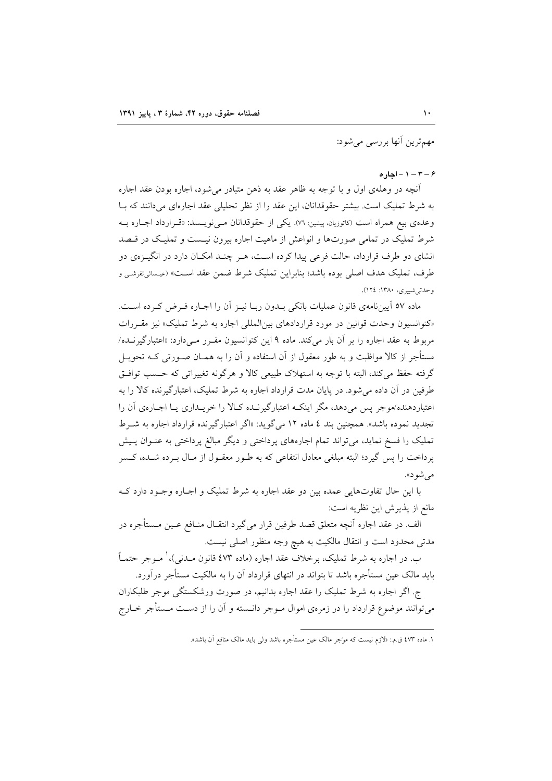مهم ترین آنها بررسی می شود:

#### $-7 - 1 - 1 - 6$

آنچه در وهلهی اول و با توجه به ظاهر عقد به ذهن متبادر می شود، اجاره بودن عقد اجاره به شرط تملیک است. بیشتر حقوقدانان، این عقد را از نظر تحلیلی عقد اجارهای می دانند که بـا وعدهي بيع همراه است (كاتوزيانه پيشين: ٧٦). يكي از حقوقدانان مـي نويـسد: «قـرارداد اجـاره بـه شرط تملیک در تمامی صورتها و انواعش از ماهیت اجاره بیرون نیـست و تملیـک در قـصد انشای دو طرف قرارداد، حالت فرعی پیدا کرده است، هـر چنـد امکـان دارد در انگیـزهی دو طرف، تمليک هدف اصلي بوده باشد؛ بنابراين تمليک شرط ضمن عقد اسـت» (عيـسائي;نفرشـي و وحدتي شبيري، ١٣٨٠: ١٢٤).

ماده ٥٧ آييننامهي قانون عمليات بانكي بـدون ربـا نيـز آن را اجـاره فـرض كـرده اسـت. «کنوانسیون وحدت قوانین در مورد قراردادهای بین المللی اجاره به شرط تملیک» نیز مقـررات مربوط به عقد اجاره را بر آن بار می کند. ماده ۹ این کنوانسیون مقـرر مـی دارد: «اعتبارگیرنــده/ مستأجر از کالا مواظبت و به طور معقول از آن استفاده و آن را به همــان صــورتـی کــه تحویــل گرفته حفظ مي كند، البته با توجه به استهلاک طبيعي کالا و هرگونه تغييراتي که حـسب توافـق طرفین در آن داده می شود. در پایان مدت قرارداد اجاره به شرط تملیک، اعتبارگیرنده کالا را به اعتباردهنده/موجر پس میدهد، مگر اینکه اعتبارگیرنـده کـالا را خریـداری یـا اجـارهی آن را تجدید نموده باشد». همچنین بند ٤ ماده ١٢ میگوید: «اگر اعتبارگیرنده قرارداد اجاره به شـرط تملیک را فسخ نماید، می تواند تمام اجارههای پرداختی و دیگر مبالغ پرداختی به عنــوان پــیش پرداخت را پس گیرد؛ البته مبلغی معادل انتفاعی که به طـور معقـول از مـال بـرده شـده، کـسر می شو د».

با اين حال تفاوتهايي عمده بين دو عقد اجاره به شرط تمليک و اجـاره وجـود دارد کـه مانع از پذیرش این نظریه است:

الف. در عقد اجاره أنچه متعلق قصد طرفين قرار مي گيرد انتقـال منــافع عــين مــستأجره در مدتی محدود است و انتقال مالکیت به هیچ وجه منظور اصلی نیست.

ب. در اجاره به شرط تمليک، برخلاف عقد اجاره (ماده ٤٧٣ قانون مــدنـي)، ٰ مــوجر حتمــاً باید مالک عین مستأجره باشد تا بتواند در انتهای قرارداد آن را به مالکیت مستأجر درآورد.

ج. اگر اجاره به شرط تملیک را عقد اجاره بدانیم، در صورت ورشکستگی موجر طلبکاران می توانند موضوع قرارداد را در زمرهی اموال مــوجر دانــسته و آن را از دســت مــستأجر خــارج

١. ماده ٤٧٣ ق.م.: «لازم نيست كه موّجر مالك عين مستأجره باشد ولي بايد مالك منافع آن باشد».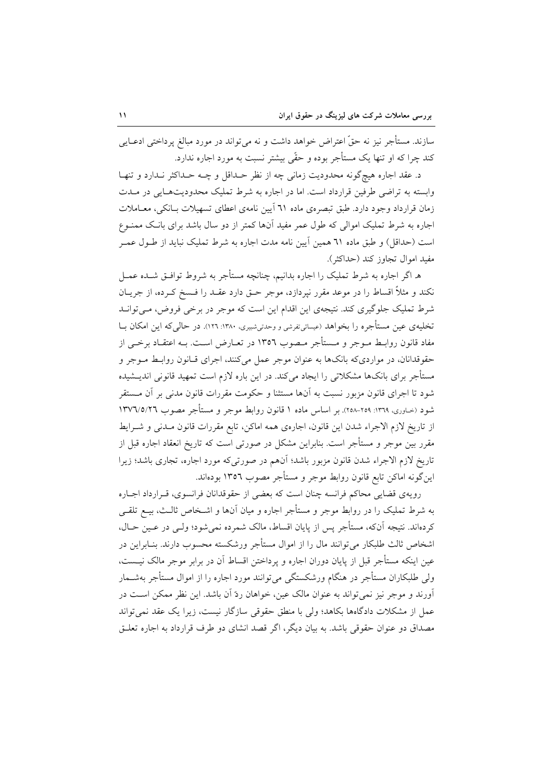سازند. مستأجر نیز نه حقّ اعتراض خواهد داشت و نه میٍتواند در مورد مبالغ پرداختی ادعــایی کند چرا که او تنها یک مستأجر بوده و حقّی بیشتر نسبت به مورد اجاره ندارد.

د. عقد اجاره هيچگونه محدوديت زماني چه از نظر حـداقل و چــه حــداکثر نــدارد و تنهـا وابسته به تراضی طرفین قرارداد است. اما در اجاره به شرط تملیک محدودیتهایی در مـدت زمان قرارداد وجود دارد. طبق تبصرهي ماده ٦١ آيين نامهي اعطاي تسهيلات بـانكي، معــاملات اجاره به شرط تملیک اموالی که طول عمر مفید آنها کمتر از دو سال باشد برای بانک ممنـوع است (حداقل) و طبق ماده ٦١ همین آیین نامه مدت اجاره به شرط تملیک نباید از طــول عمــر مفيد اموال تجاوز كند (حداكثر).

ه اگر اجاره به شرط تملیک را اجاره بدانیم، چنانچه مستأجر به شروط توافـق شــده عمــل نکند و مثلاً اقساط را در موعد مقرر نیردازد، موجر حـق دارد عقــد را فـسخ کــرده، از جریــان شرط تملیک جلوگیری کند. نتیجهی این اقدام این است که موجر در برخی فروض، مے توانـد تخلیهی عین مستأجره را بخواهد (عیسائیتفرشی و وحدتیشبیری، ۱۳۸۰: ۱۲۹). در حالی که این امکان بــا مفاد قانون روابـط مــوجر و مــستأجر مــصوب ١٣٥٦ در تعــارض اســت. بــه اعتقــاد برخــي از حقوقدانان، در مواردیکه بانکها به عنوان موجر عمل میکنند، اجرای قبانون روابط مـوجر و مستأجر برای بانکها مشکلاتی را ایجاد میکند. در این باره لازم است تمهید قانونی اندیــشیده شود تا اجرای قانون مزبور نسبت به آنها مستثنا و حکومت مقررات قانون مدنی بر آن مــستقر شود (خــاوری، ١٣٦٩: ٢٥٨-٢٥٨). بر اساس ماده ١ قانون روابط موجر و مستأجر مصوب ١٣٧٦/٥/٢٦ از تاريخ لازم الاجراء شدن اين قانون، اجارهي همه اماكن، تابع مقررات قانون مـدنى و شــرايط مقرر بین موجر و مستأجر است. بنابراین مشکل در صورتی است که تاریخ انعقاد اجاره قبل از تاریخ لازم الاجراء شدن قانون مزبور باشد؛ آنهم در صورتیکه مورد اجاره، تجاری باشد؛ زیرا این گونه اماکن تابع قانون روابط موجر و مستأجر مصوب ١٣٥٦ بودهاند.

رويهي قضايي محاكم فرانسه چنان است كه بعضي از حقوقدانان فرانسوي، قـرارداد اجـاره به شرط تملیک را در روابط موجر و مستأجر اجاره و میان آنها و اشـخاص ثالـث، بیــع تلقــی كردهاند. نتيجه آنكه، مستأجر پس از پايان اقساط، مالک شمرده نمي شود؛ ولـي در عـين حـال، اشخاص ثالث طلبکار می توانند مال را از اموال مستأجر ورشکسته محسوب دارند. بنـابراین در عین اینکه مستأجر قبل از پایان دوران اجاره و پرداختن اقساط آن در برابر موجر مالک نیــست، ولی طلبکاران مستأجر در هنگام ورشکستگی می توانند مورد اجاره را از اموال مستأجر بهشــمار آورند و موجر نیز نمی تواند به عنوان مالک عین، خواهان ردّ آن باشد. این نظر ممکن اسـت در عمل از مشکلات دادگاهها بکاهد؛ ولی با منطق حقوقی سازگار نیست، زیرا یک عقد نمی تواند مصداق دو عنوان حقوقی باشد. به بیان دیگر، اگر قصد انشای دو طرف قرارداد به اجاره تعلـق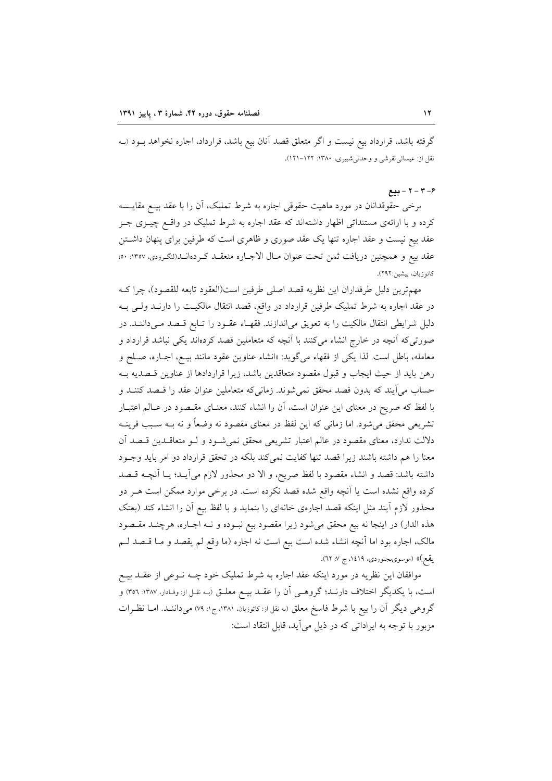گرفته باشد، قرارداد بیع نیست و اگر متعلق قصد آنان بیع باشد، قرارداد، اجاره نخواهد بــود (بـه نقل از: عیسائی تفرشی و وحدتی شبیری، ۱۳۸۰: ۱۲۲–۱۲۱).

#### $-7 - 7 - 8$

برخی حقوقدانان در مورد ماهیت حقوقی اجاره به شرط تملیک، أن را با عقد بیــع مقایــسه کرده و با ارائهی مستنداتی اظهار داشتهاند که عقد اجاره به شرط تملیک در واقـع چیــزی جــز عقد بیع نیست و عقد اجاره تنها یک عقد صوری و ظاهری است که طرفین برای پنهان داشتن عقد بيع و همچنين دريافت ثمن تحت عنوان مـال الاجـاره منعقـد كـردهانـد(لنكـرودي، ١٣٥٧: ٥٠؛ كاتوزيان، پيشين:٢٩٢).

مهمترين دليل طرفداران اين نظريه قصد اصلى طرفين است(العقود تابعه للقصود)، چراكه در عقد اجاره به شرط تملیک طرفین قرارداد در واقع، قصد انتقال مالکیـت را دارنــد ولــی بــه دلیل شرایطی انتقال مالکیت را به تعویق میاندازند. فقهـاء عقـود را تـابع قـصد مـیداننـد. در صورتیکه آنچه در خارج انشاء میکنند با آنچه که متعاملین قصد کردهاند یکی نباشد قرارداد و معامله، باطل است. لذا يكي از فقهاء مي گويد: «انشاء عناوين عقود مانند بيـع، اجـاره، صـلح و رهن بايد از حيث ايجاب و قبول مقصود متعاقدين باشد، زيرا قراردادها از عناوين قسصديه بـه حساب می ایند که بدون قصد محقق نمی شوند. زمانی که متعاملین عنوان عقد را قـصد کننــد و با لفظ که صریح در معنای این عنوان است، آن را انشاء کنند، معنـای مقـصود در عـالم اعتبـار تشریعی محقق میشود. اما زمانی که این لفظ در معنای مقصود نه وضعاً و نه بـه سـبب قرینــه دلالت ندارد، معنای مقصود در عالم اعتبار تشریعی محقق نمیشود و لـو متعاقــدین قــصد أن معنا را هم داشته باشند زیرا قصد تنها کفایت نمیکند بلکه در تحقق قرارداد دو امر باید وجــود داشته باشد: قصد و انشاء مقصود با لفظ صريح، و الا دو محذور لازم مي آيـد؛ يـا أنچـه قــصد کرده واقع نشده است یا آنچه واقع شده قصد نکرده است. در برخی موارد ممکن است هـر دو محذور لازم أيند مثل اينكه قصد اجارهي خانهاي را بنمايد و با لفظ بيع أن را انشاء كند (بعتك هذه الدار) در اینجا نه بیع محقق میشود زیرا مقصود بیع نبـوده و نـه اجـاره، هرچنـد مقـصود مالک، اجاره بود اما اَنچه انشاء شده است بیع است نه اجاره (ما وقع لم یقصد و مــا قــصد لــم یقع)» (موسویبجنوردی، ۱٤۱۹، ج ۷: ۳۲).

موافقان این نظریه در مورد اینکه عقد اجاره به شرط تملیک خود چــه نــوعی از عقــد بیــع است، با یکدیگر اختلاف دارنـد؛ گروهـی آن را عقـد بیــع معلــق (بــه نقـل از: وفـادار، ۱۳۸۷: ۳۵٦) و گروهی دیگر آن را بیع با شرط فاسخ معلق (به نقل از: کاتوزیان، ۱۳۸۱، ج۱: ۷۹) میداننــد. امــا نظــرات مزبور با توجه به ايراداتي كه در ذيل مي آيد، قابل انتقاد است: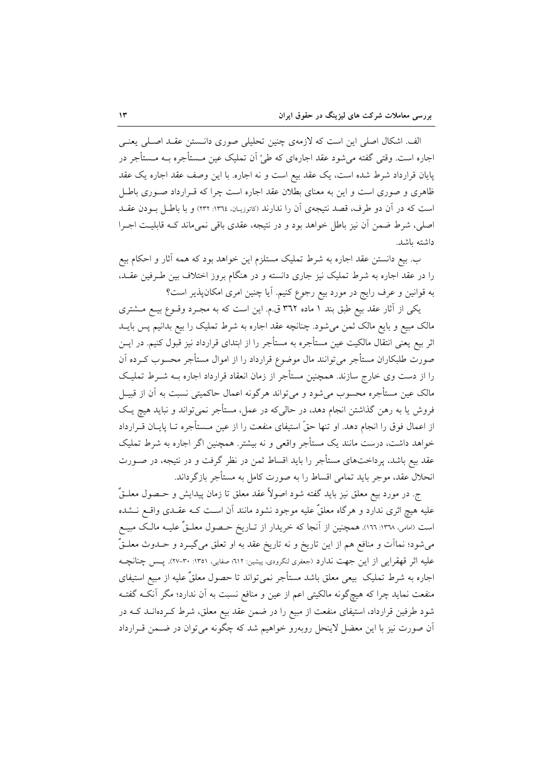الف. اشکال اصلی این است که لازمهی چنین تحلیلی صوری دانستن عقـد اصـلی یعنـی اجاره است. وقتی گفته می شود عقد اجارهای که طیّ اَن تملیک عین مـستأجره بــه مـستأجر در پایان قرارداد شرط شده است، یک عقد بیع است و نه اجاره. با این وصف عقد اجاره یک عقد ظاهری و صوری است و این به معنای بطلان عقد اجاره است چرا که قـرارداد صـوری باطـل است که در آن دو طرف، قصد نتیجهی آن را ندارند (کاتوزیـان، ١٣٦٤: ٢٣٢) و با باطـل بــودن عقــد اصلی، شرط ضمن آن نیز باطل خواهد بود و در نتیجه، عقدی باقی نمیماند کـه قابلیـت اجـرا داشته ىاشد.

ب. بیع دانستن عقد اجاره به شرط تملیک مستلزم این خواهد بود که همه آثار و احکام بیع را در عقد اجاره به شرط تملیک نیز جاری دانسته و در هنگام بروز اختلاف بین طـرفین عقــد، به قوانین و عرف رایج در مورد بیع رجوع کنیم. آیا چنین امری امکانپذیر است؟

یکی از آثار عقد بیع طبق بند ۱ ماده ۳۶۲ ق.م. این است که به مجـرد وقــوع بیــع مــشتری مالک مبیع و بایع مالک ثمن میشود. چنانچه عقد اجاره به شرط تملیک را بیع بدانیم پس بایــد اثر بیع یعنی انتقال مالکیت عین مستأجره به مستأجر را از ابتدای قرارداد نیز قبول کنیم. در ایــن صورت طلبکاران مستأجر می توانند مال موضوع قرارداد را از اموال مستأجر محسوب کـرده آن را از دست وی خارج سازند. همچنین مستأجر از زمان انعقاد قرارداد اجاره بـه شــرط تملیـک مالک عین مستأجره محسوب می شود و می تواند هرگونه اعمال حاکمیتی نسبت به آن از قبیــل فروش یا به رهن گذاشتن انجام دهد، در حالیکه در عمل، مستأجر نمی تواند و نباید هیچ یک از اعمال فوق را انجام دهد. او تنها حقَّ استيفاى منفعت را از عين مــستأجره تــا پايــان قــرارداد خواهد داشت، درست مانند یک مستأجر واقعی و نه بیشتر. همچنین اگر اجاره به شرط تملیک عقد بیع باشد، پرداختهای مستأجر را باید اقساط ثمن در نظر گرفت و در نتیجه، در صـورت انحلال عقد، موجر باید تمامی اقساط را به صورت کامل به مستأجر بازگرداند.

ج. در مورد بيع معلق نيز بايد گفته شود اصولاً عقد معلق تا زمان پيدايش و حـصول معلــقٌ علیه هیچ اثری ندارد و هرگاه معلقٌ علیه موجود نشود مانند آن اسـت کـه عقــدی واقــع نــشده است (امامی، ۱۳٦۸: ١٦٦). همچنین از آنجا که خریدار از تــاریخ حــصول معلــقٌ علیــه مالــک مبیــع می شود؛ نمااَت و منافع هم از این تاریخ و نه تاریخ عقد به او تعلق میگیــرد و حــدوث معلــقٌّ عليه اثر قهقرايي از اين جهت ندارد (جعفري لنگرودي، پيشين: ٦١٢؛ صفايي، ١٣٥١: ٣٠-٢٧). پــس چنانچــه اجاره به شرط تملیک بیعی معلق باشد مستأجر نمیتواند تا حصول معلقٌ علیه از مبیع استیفای منفعت نماید چرا که هیچگونه مالکیتی اعم از عین و منافع نسبت به آن ندارد؛ مگر آنکـه گفتـه شود طرفین قرارداد، استیفای منفعت از مبیع را در ضمن عقد بیع معلق، شرط کـردهانــد کــه در آن صورت نیز با این معضل لاینحل روبهرو خواهیم شد که چگونه می توان در ضـمن قـرارداد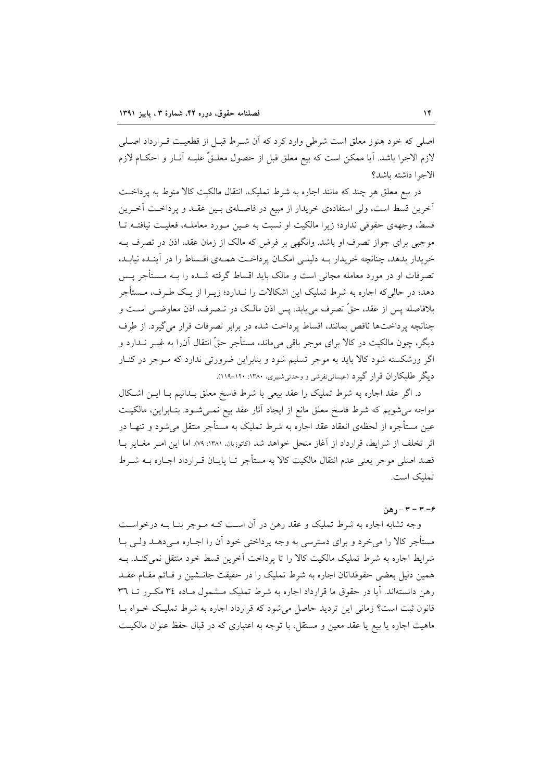اصلی که خود هنوز معلق است شرطی وارد کرد که آن شـرط قبـل از قطعیـت قـرارداد اصـلی لازم الاجرا باشد. آيا ممكن است كه بيع معلق قبل از حصول معلـقٌ عليـه آثــار و احكــام لازم الاجرا داشته باشد؟

در بيع معلق هر چند كه مانند اجاره به شرط تمليك، انتقال مالكيت كالا منوط به يرداخت آخرین قسط است، ولی استفادهی خریدار از مبیع در فاصـلهی بـین عقـد و پرداخـت آخـرین قسط، وجههى حقوقى ندارد؛ زيرا مالكيت او نسبت به عـين مـورد معاملـه، فعليـت نيافتـه تـا موجبی برای جواز تصرف او باشد. وانگهی بر فرض که مالک از زمان عقد، اذن در تصرف بـه خریدار بدهد، چنانچه خریدار بـه دلیلـی امکـان پرداخـت همـهی اقـساط را در آینـده نیابـد. تصرفات او در مورد معامله مجانی است و مالک باید اقساط گرفته شــده را بــه مــستأجر پــس دهد؛ در حالی که اجاره به شرط تملیک این اشکالات را نـدارد؛ زیــرا از یــک طــرف، مــستأجر بلافاصله پس از عقد، حقٌّ تصرف مي يابد. پس اذن مالـک در تـصرف، اذن معاوضـي اسـت و چنانچه پرداختها ناقص بمانند، اقساط پرداخت شده در برابر تصرفات قرار می گیرد. از طرف دیگر، چون مالکیت در کالا برای موجر باقی میماند، مستأجر حقّ انتقال آن٫را به غیــر نــدارد و اگر ورشکسته شود کالا باید به موجر تسلیم شود و بنابراین ضرورتی ندارد که مـوجر در کنـار دیگر طلبکاران قرار گیرد (عیسائی تفرشی و وحدتی شبیری، ۱۳۸۰: ۱۲۰-۱۱۹).

د. اگر عقد اجاره به شرط تملیک را عقد بیعی با شرط فاسخ معلق بــدانیم بــا ایــن اشــکال مواجه میشویم که شرط فاسخ معلق مانع از ایجاد اَثار عقد بیع نمــیشــود. بنــابراین، مالکیــت عین مستأجره از لحظهی انعقاد عقد اجاره به شرط تملیک به مستأجر منتقل میشود و تنهــا در اثر تخلف از شرايط، قرارداد از آغاز منحل خواهد شد (كاتوزيان، ١٣٨١: ٧٩). اما اين امـر مغـاير بــا قصد اصلی موجر یعنی عدم انتقال مالکیت کالا به مستأجر تـا پایــان قــرارداد اجــاره بــه شــرط تمليک است.

#### $r-\tau-\tau-\epsilon$ هن

وجه تشابه اجاره به شرط تملیک و عقد رهن در آن است کـه مـوجر بنـا بـه درخواسـت مستأجر کالا را میخرد و برای دسترسی به وجه پرداختی خود آن را اجـاره مـیدهـد ولـی بـا شرايط اجاره به شرط تمليک مالکيت کالا را تا پرداخت آخرين قسط خود منتقل نمي کنــد. بــه همین دلیل بعضی حقوقدانان اجاره به شرط تملیک را در حقیقت جانــشین و قــائم مقــام عقــد رهن دانستهاند. آیا در حقوق ما قرارداد اجاره به شرط تملیک مشمول مـاده ۳٤ مکـرر تــا ٣٦ قانون ثبت است؟ زمانی این تردید حاصل می شود که قرارداد اجاره به شرط تملیک خـواه بـا ماهيت اجاره يا بيع يا عقد معين و مستقل، با توجه به اعتباري كه در قبال حفظ عنوان مالكيت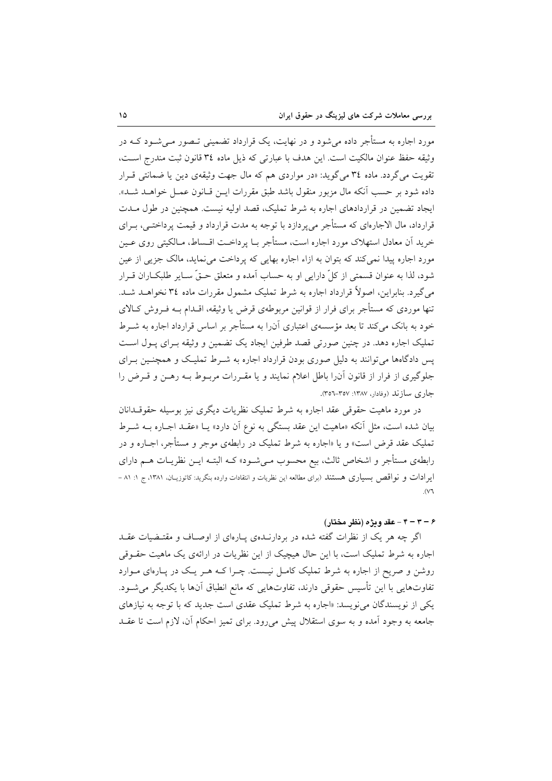مورد اجاره به مستأجر داده می شود و در نهایت، یک قرارداد تضمینی تـصور مـی شـود کــه در وثيقه حفظ عنوان مالكيت است. اين هدف با عبارتي كه ذيل ماده ٣٤ قانون ثبت مندرج است، تقویت میگردد. ماده ۳٤ میگوید: «در مواردی هم که مال جهت وثیقهی دین یا ضمانتی قـرار داده شود بر حسب آنكه مال مزبور منقول باشد طبق مقررات ايــن قــانون عمــل خواهــد شــد». ایجاد تضمین در قراردادهای اجاره به شرط تملیک، قصد اولیه نیست. همچنین در طول مـدت قرارداد، مال الاجارهای که مستأجر می پردازد با توجه به مدت قرارداد و قیمت پرداختـی، بـرای خرید اّن معادل استهلاک مورد اجاره است، مستأجر بــا پرداخــت اقــساط، مــالکيتي روي عــين مورد اجاره پیدا نمی کند که بتوان به ازاء اجاره بهایی که پرداخت می نماید، مالک جزیی از عین شود، لذا به عنوان قسمتي از كلِّ دارايي او به حساب آمده و متعلق حـقٌّ سـاير طلبكــاران قــرار می گیرد. بنابراین، اصولاً قرارداد اجاره به شرط تملیک مشمول مقررات ماده ۳٤ نخواهـد شـد. تنها موردی که مستأجر برای فرار از قوانین مربوطهی قرض یا وثیقه، اقــدام بــه فــروش کــالای خود به بانک می کند تا بعد مؤسسهی اعتباری آنرا به مستأجر بر اساس قرارداد اجاره به شــرط تمليک اجاره دهد. در چنين صورتي قصد طرفين ايجاد يک تضمين و وثيقه بـراي پـول اسـت پس دادگاهها می توانند به دلیل صوری بودن قرارداد اجاره به شـرط تملیک و همچنـین بـرای جلوگیری از فرار از قانون آنرا باطل اعلام نمایند و یا مقـررات مربـوط بـه رهـن و قـرض را جاري سازند (وفادار، ۱۳۸۷: ۳۵۷-۳۵۲).

در مورد ماهیت حقوقی عقد اجاره به شرط تملیک نظریات دیگری نیز بوسیله حقوقـدانان بیان شده است، مثل آنکه «ماهیت این عقد بستگی به نوع آن دارد» یــا «عقــد اجــاره بــه شــرط تملیک عقد قرض است» و یا «اجاره به شرط تملیک در رابطهی موجر و مستأجر، اجـاره و در رابطهی مستأجر و اشخاص ثالث، بیع محسوب مـیشـود» کــه البتــه ایــن نظریــات هــم دارای ایرادات و نواقص بسیاری هستند (برای مطالعه این نظریات و انتقادات وارده بنگرید: کاتوزیـان، ۱۳۸۱، ج ۱: ۸۱ –  $\overline{\mathcal{N}}$ 

## ۶ – ۴ – ۴ – عقد ويژه (نظر مختار)

اگر چه هر یک از نظرات گفته شده در بردارنـدهی پـارهای از اوصـاف و مقتـضیات عقـد اجاره به شرط تملیک است، با این حال هیچیک از این نظریات در ارائهی یک ماهیت حقــوقی روشن و صریح از اجاره به شرط تملیک کامـل نیـست. چـرا کـه هـر یـک در پـارهای مـوارد تفاوتهایی با این تأسیس حقوقی دارند، تفاوتهایی که مانع انطباق آنها با یکدیگر می شـود. یکی از نویسندگان می نویسد: «اجاره به شرط تملیک عقدی است جدید که با توجه به نیازهای جامعه به وجود آمده و به سوى استقلال پیش مىرود. براى تمیز احکام آن، لازم است تا عقـد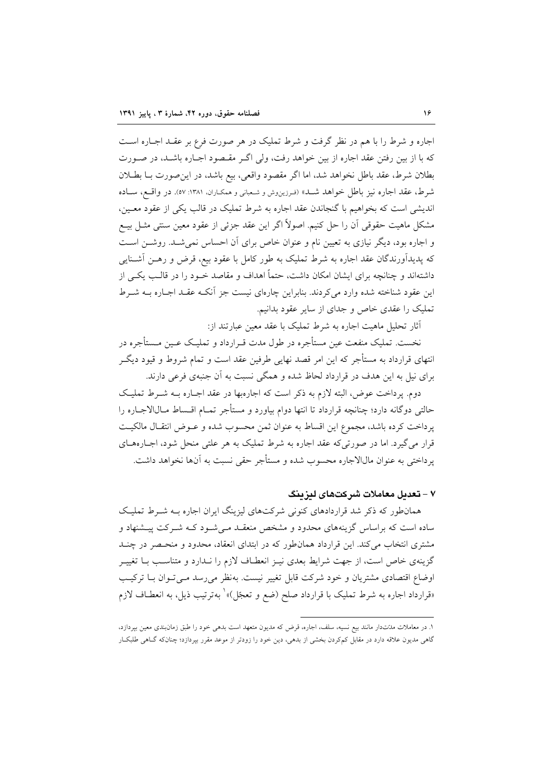اجاره و شرط را با هم در نظر گرفت و شرط تملیک در هر صورت فرع بر عقـد اجـاره اسـت که با از بین رفتن عقد اجاره از بین خواهد رفت، ولی اگ مقبصود اجباره باشید، در صورت بطلان شرط، عقد باطل نخواهد شد، اما اگر مقصود واقعی، بیع باشد، در این صورت بــا بطــلان شرط، عقد اجاره نيز باطل خواهد شـد» (فـرزينوش و شـعباني و همكـاران، ١٣٨١: ٥٧). در واقـع، سـاده اندیشی است که بخواهیم با گنجاندن عقد اجاره به شرط تملیک در قالب یکی از عقود معـین، مشکل ماهیت حقوقی آن را حل کنیم. اصولاً اگر این عقد جزئی از عقود معین سنتی مثــل بیــع و اجاره بود، دیگر نیازی به تعیین نام و عنوان خاص برای آن احساس نمی شـد. روشـن اسـت که پدیدآورندگان عقد اجاره به شرط تملیک به طور کامل با عقود بیع، قرض و رهــن آشــنایی داشتهاند و چنانچه برای ایشان امکان داشت، حتماً اهداف و مقاصد خـود را در قالـب یکـی از این عقود شناخته شده وارد میکردند. بنابراین چارهای نیست جز آنکـه عقـد اجـاره بــه شــرط تملیک را عقدی خاص و جدای از سایر عقود بدانیم.

أثار تحلیل ماهیت اجاره به شرط تملیک با عقد معین عبارتند از:

نخست. تملیک منفعت عین مستأجره در طول مدت قـرارداد و تملیـک عـین مـستأجره در انتهای قرارداد به مستأجر که این امر قصد نهایی طرفین عقد است و تمام شروط و قیود دیگـر برای نیل به این هدف در قرارداد لحاظ شده و همگی نسبت به آن جنبهی فرعی دارند.

دوم. پرداخت عوض، البته لازم به ذکر است که اجارهبها در عقد اجـاره بـه شـرط تمليـک حالتی دوگانه دارد؛ چنانچه قرارداد تا انتها دوام بیاورد و مستأجر تمــام اقــساط مــال|لاجــاره را يرداخت كرده باشد، مجموع اين اقساط به عنوان ثمن محسوب شده و عــوض انتقـال مالكيـت قرار میگیرد. اما در صورتیکه عقد اجاره به شرط تملیک به هر علتی منحل شود، اجـارههـای پرداختی به عنوان مالالاجاره محسوب شده و مستأجر حقی نسبت به آنها نخواهد داشت.

## ۷ – تعدیل معاملات شرکتهای لیزینگ

همانطور که ذکر شد قراردادهای کنونی شرکتهای لیزینگ ایران اجاره بـه شـرط تملیک .<br>ساده است که براساس گزینههای محدود و مشخص منعقـد مـی شـود کـه شـرکت پیــشنهاد و مشتری انتخاب می کند. این قرارداد همان طور که در ابتدای انعقاد، محدود و منحـصر در چنــد گزینهی خاص است، از جهت شرایط بعدی نیـز انعطـاف لازم را نـدارد و متناسـب بـا تغییـر اوضاع اقتصادی مشتریان و خود شرکت قابل تغییر نیست. بهنظر می رسد مـی تـوان بـا ترکیـب «قرارداد اجاره به شرط تملیک با قرارداد صلح (ضع و تعجّل)» ٰ بهترتیب ذیل، به انعطـاف لازم

۱. در معاملات مدتتدار مانند بیع نسیه، سلف، اجاره، قرض که مدیون متعهد است بدهی خود را طبق زمانبندی معین بپردازد، گاهی مدیون علاقه دارد در مقابل کمکردن بخشی از بدهی، دین خود را زودتر از موعد مقرر بپردازد؛ چنانکه گــاهی طلبکــار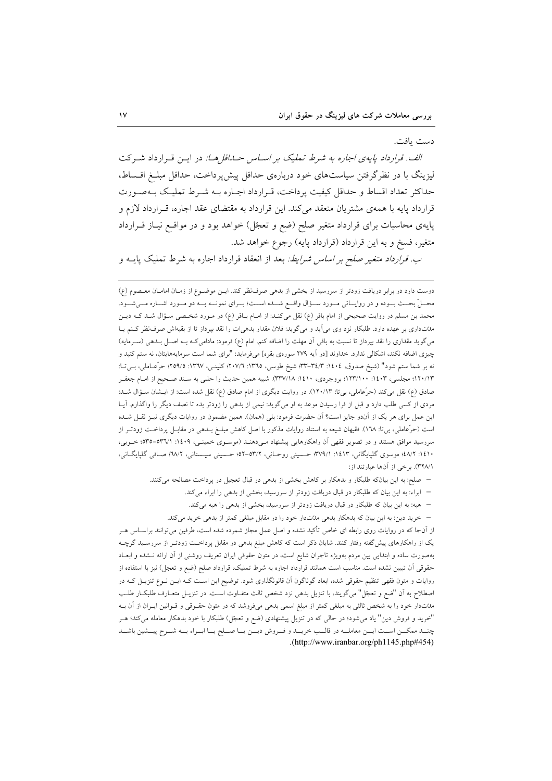#### دست يافت.

الف. قرارداد پایهی اجاره به شرط تملیک بر اساس حیداقا ها: در این قبرارداد شیرکت لیزینگ با در نظرگرفتن سیاستهای خود دربارهی حداقل پیش پرداخت، حداقل مبلـغ اقـساط، حداکثر تعداد اقساط و حداقل کیفیت پرداخت، قـرارداد اجـاره بـه شـرط تملیـک بـهصـورت قرارداد پایه با همهی مشتریان منعقد می کند. این قرارداد به مقتضای عقد اجاره، قـرارداد لازم و پایهی محاسبات برای قرارداد متغیر صلح (ضع و تعجّل) خواهد بود و در مواقـع نیــاز قــرارداد متغیر، فسخ و به این قرارداد (قرارداد پایه) رجوع خواهد شد.

*ب. قرارداد متغیر صلح بر اساس شرایط:* بعد از انعقاد قرارداد اجاره به شرط تملیک پایــه و

دوست دارد در برابر دریافت زودتر از سررسید از بخشی از بدهی صرف نظر کند. ایـن موضـوع از زمـان امامـان معـصوم (ع) محــلّ بحــث بــوده و در روايــاتي مــورد ســؤال واقــع شــده اســت؛ بــراي نمونــه بــه دو مــورد اشــاره مــيشــود. محمد بن مسلم در روایت صحیحی از امام باقر (ع) نقل میکنـد: از امــام بــاقر (ع) در مــورد شخـصی ســؤال شــد کــه دیــن مدتنداری بر عهده دارد. طلبکار نزد وی میآید و میگوید: فلان مقدار بدهیات را نقد بپرداز تا از بقیهاش صرف نظر کنم یـا می گوید مقداری را نقد بپرداز تا نسبت به باقی آن مهلت را اضافه کنم. امام (ع) فرمود: مادامی کـه بـه اصـل بـدهی (سـرمایه) چیزی اضافه نکند، اشکالی ندارد. خداوند [در اَیه ۲۷۹ سورهی بقره] میفرماید: "برای شما است سرمایههایتان، نه ستم کنید و نه بر شما ستم شود" (شيخ صدوق، ١٤٠٤: ٣٣-٣٣: شيخ طوسي، ١٣٦٥: ٢٠٧/٦: كلينـي، ١٣٦٧: ٢٥٩/٥) حرَّعــاملي، بــيّتــا: ۱۲۰/۱۳؛ مجلسی، ۱۶۰۳: ۱۲۳/۱۰۰؛ بروجردی، ۱٤۱۰: ۳۳۷/۱۸). شبیه همین حدیث را حلبی به سـند صـحیح از امـام جعفـر صادق (ع) نقل می کند (حرَّعاملی، بی تا: ۱۲۰/۱۳). در روایت دیگری از امام صادق (ع) نقل شده است: از ایـشان سـؤال شـد: مردی از کسی طلب دارد و قبل از فرا رسیدن موعد به او میگوید: نیمی از بدهی را زودتر بده تا نصف دیگر را واگذارم. آیـا این عمل برای هر یک از آندو جایز است؟ اَن حضرت فرمود: بلی (همان). همین مضمون در روایات دیگری نیـز نقـل شــده است (حرَّعاملی، بیمتا: ١٦٨). فقیهان شیعه به استناد روایات مذکور با اصل کاهش مبلــغ بــدهی در مقابــل پرداخــت زودتــر از سررسید موافق هستند و در تصویر فقهی آن راهکارهایی پیشنهاد مـیدهنـد (موسـوی خمینـی، ۱٤٠٩: ۰/۳٦/۱-۵۳۵؛ خـویی، ۱٤١٠: ٤٨/٢؛ موسوى گلپايگانى، ١٤١٣: ٣٧٩/١؛ حسينى روحـانى، ٥٣/٢-٥٢: حـسينى سيـستانى، ٣٧/٢؛ صـافى گلپايگــانى، ٣٢٨/١). برخي از آنها عبارتند از:

- صلح: به این بیانکه طلبکار و بدهکار بر کاهش بخشی از بدهی در قبال تعجیل در پرداخت مصالحه میکنند.
	- ابراء: به این بیان که طلبکار در قبال دریافت زودتر از سررسید، بخشی از بدهی را ابراء می کند.
	- هبه: به این بیان که طلبکار در قبال دریافت زودتر از سررسید، بخشی از بدهی را هبه میکند.
	- خرید دین: به این بیان که بدهکار بدهی مدّتدار خود را در مقابل مبلغی کمتر از بدهی خرید میکند.

از آنجا که در روایات روی رابطه ای خاص تأکید نشده و اصل عمل مجاز شمرده شده است، طرفین میتوانند براسـاس هــر یک از راهکارهای پیش گفته رفتار کنند. شایان ذکر است که کاهش مبلغ بدهی در مقابل پرداخت زودتـر از سررسـید گرچــه بهصورت ساده و ابتدایی بین مردم بهویژه تاجران شایع است، در متون حقوقی ایران تعریف روشنی از آن ارائه نــشده و ابعــاد حقوقی آن تبیین نشده است. مناسب است همانند قرارداد اجاره به شرط تملیک، قرارداد صلح (ضع و تعجل) نیز با استفاده از روایات و متون فقهی تنظیم حقوقی شده، ابعاد گوناگون آن قانونگذاری شود. توضیح این اسـت کــه ایــن نــوع تنزیــل کــه در اصطلاح به آن "ضع و تعجّل" میگویند، با تنزیل بدهی نزد شخص ثالث متفـاوت اسـت. در تنزیـل متعـارف طلبکـار طلـب مدَّتدار خود را به شخص ثالثي به مبلغي كمتر از مبلغ اسمي بدهي ميفروشد كه در متون حقــوقي و قــوانين ايــران از آن بــه "خرید و فروش دین" یاد میشود؛ در حالی که در تنزیل پیشنهادی (ضع و تعجّل) طلبکار با خود بدهکار معامله میکند؛ هــر چنــد ممكــن اســت ايــن معاملــه در قالــب خريــد و فــروش ديــن يــا صــلح يــا ابــراء بــه شــرح پيــشين باشــد .(http://www.iranbar.org/ph1145.php#454)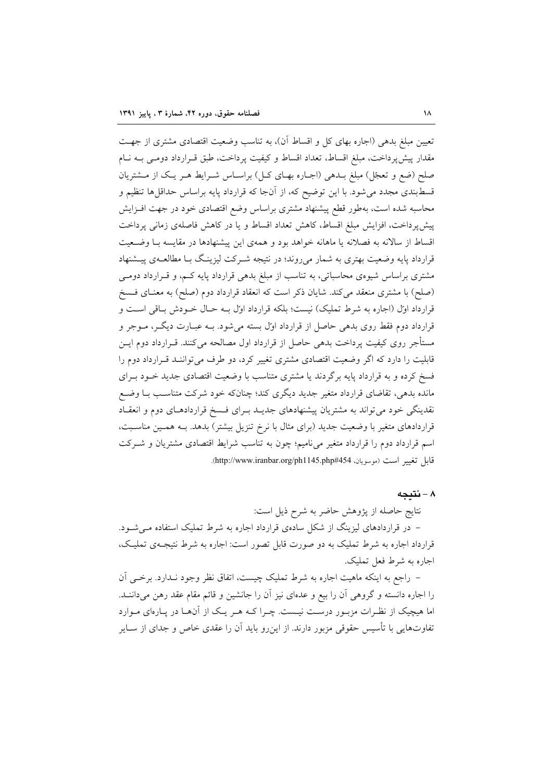تعیین مبلغ بدهی (اجاره بهای کل و اقساط آن)، به تناسب وضعیت اقتصادی مشتری از جهت مقدار پیش پرداخت، مبلغ اقساط، تعداد اقساط و کیفیت پرداخت، طبق قـرارداد دومـی بـه نـام صلح (ضع و تعجّل) مبلغ بـدهی (اجـاره بهـای کـل) براسـاس شـرايط هـر يـک از مـشتريان قسطبندی مجدد می شود. با این توضیح که، از آنجا که قرارداد پایه براساس حداقلها تنظیم و محاسبه شده است، بهطور قطع پیشنهاد مشتری براساس وضع اقتصادی خود در جهت افـزایش پیش پرداخت، افزایش مبلغ اقساط، کاهش تعداد اقساط و یا در کاهش فاصلهی زمانی پرداخت اقساط از سالانه به فصلانه یا ماهانه خواهد بود و همهی این پیشنهادها در مقایسه بـا وضـعیت قرارداد پایه وضعیت بهتری به شمار میروند؛ در نتیجه شـرکت لیزینـگ بـا مطالعـهی پیـشنهاد مشتری براساس شیوهی محاسباتی، به تناسب از مبلغ بدهی قرارداد پایه کـم، و قـرارداد دومـی (صلح) با مشتری منعقد میکند. شایان ذکر است که انعقاد قرارداد دوم (صلح) به معنـای فــسخ قرارداد اول (اجاره به شرط تملیک) نیست؛ بلکه قرارداد اول بـه حـال خـودش بـاقی اسـت و قرارداد دوم فقط روی بدهی حاصل از قرارداد اوّل بسته میشود. بــه عبــارت دیگــر، مــوجر و مستأجر روی کیفیت پرداخت بدهی حاصل از قرارداد اول مصالحه میکنند. قــرارداد دوم ایــن قابلیت را دارد که اگر وضعیت اقتصادی مشتری تغییر کرد، دو طرف می تواننـد قـرارداد دوم را فسخ کرده و به قرارداد پایه برگردند یا مشتری متناسب با وضعیت اقتصادی جدید خـود بـرای مانده بدهی، تقاضای قرارداد متغیر جدید دیگری کند؛ چنانکه خود شرکت متناسب بـا وضـع نقدینگی خود می تواند به مشتریان پیشنهادهای جدیـد بـرای فـسخ قراردادهـای دوم و انعقـاد قراردادهای متغیر با وضعیت جدید (برای مثال با نرخ تنزیل بیشتر) بدهد. بــه همــین مناســبت، اسم قرارداد دوم را قرارداد متغیر می نامیم؛ چون به تناسب شرایط اقتصادی مشتریان و شـرکت قابل تغيير است (موسويان، http://www.iranbar.org/ph1145.php#454).

# ٨ - نتيجه

نتايج حاصله از پژوهش حاضر به شرح ذيل است: – در قراردادهای لیزینگ از شکل سادهی قرارداد اجاره به شرط تملیک استفاده می شود. قرارداد اجاره به شرط تملیک به دو صورت قابل تصور است: اجاره به شرط نتیجـهی تملیـک، اجاره به شرط فعل تملیک.

– راجع به اینکه ماهیت اجاره به شرط تملیک چیست، اتفاق نظر وجود نـدارد. برخـی آن را اجاره دانسته و گروهی آن را بیع و عدهای نیز آن را جانشین و قائم مقام عقد رهن میداننـد. اما هیچیک از نظـرات مزبـور درسـت نیـست. چـرا کـه هـر یـک از آنهـا در پـارهای مـوارد تفاوتهایی با تأسیس حقوقی مزبور دارند. از این٫رو باید آن را عقدی خاص و جدای از ســایر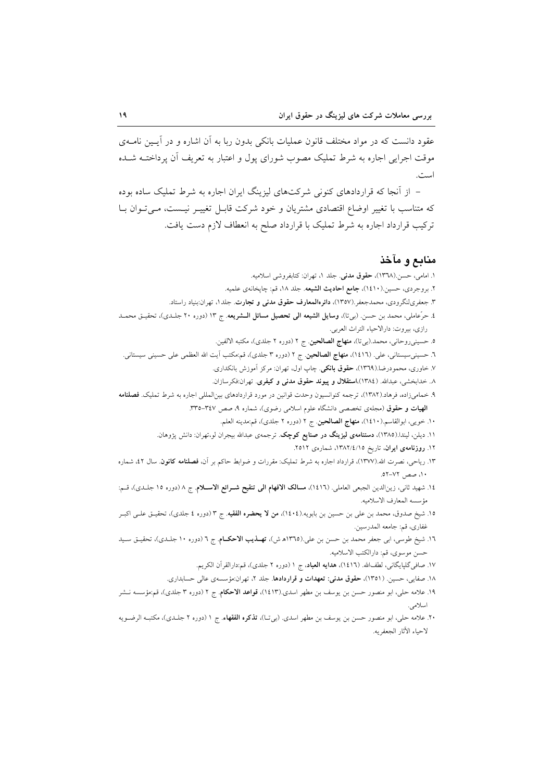عقود دانست که در مواد مختلف قانون عملیات بانکی بدون ربا به آن اشاره و در آیــین نامــهی موقت اجرایی اجاره به شرط تملیک مصوب شورای پول و اعتبار به تعریف آن پرداختــه شــده است.

– از آنجا که قراردادهای کنونی شرکتهای لیزینگ ایران اجاره به شرط تملیک ساده بوده که متناسب با تغییر اوضاع اقتصادی مشتریان و خود شرکت قابـل تغییـر نیـست، مـیتوان بـا ترکیب قرارداد اجاره به شرط تملیک با قرارداد صلح به انعطاف لازم دست یافت.

## منابع و مآخذ

١. امامي، حسن.(١٣٦٨)، حقوق مدنى. جلد ١، تهران: كتابفروشي اسلاميه. ٢. بروجردي، حسين.(١٤١٠)، جامع احاديث الشيعه. جلد ١٨، قم: چاپخانهي علميه. ۳. جعفریلنگرودی، محمدجعفر.(۱۳۵۷)، **دائرەالمعارف حقوق مدنی و تجارت**. جلد۱، تهران:بنیاد راستاد. ٤. حرّعاملي، محمد بن حسن. (بيتا)، **وسايل الشيعه الي تحصيل مسائل الــشريعه**. ج ١٣ (دوره ٢٠ جلـدى)، تحقيـق محمــد رازي، بيروت: دارالاحياء التراث العربي. ٥. حسيني روحاني، محمد.(بيتا)، **منهاج الصالحين**. ج ٢ (دوره ٢ جلدي)، مكتبه الالفين. ٦. حسینی سیستانی، علی. (١٤١٦)، **منهاج الصالحین**. ج ٢ (دوره ٣ جلدی)، قم:مکتب اَیت الله العظمی علی حسینی سیستانی. ۷. خاوری، محمودرضا.(۱۳٦۹)، حقوق بانکی. چاپ اول، تهران: مرکز آموزش بانکداری. ۸. خدابخشی، عبدالله. (۱۳۸٤)،**استقلال و پیوند حقوق مدنی و کیفری**. تهران:فکرسازان. ۹. خمامیزاده، فرهاد.(۱۳۸۲)، ترجمه كنوانسيون وحدت قوانين در مورد قراردادهاي بينالمللي اجاره به شرط تمليك. فصلنامه الهیات و حقوق (مجلهی تخصصی دانشگاه علوم اسلامی رضوی)، شماره ۹، صص ۳٤٧–۳۳۵. ١٠. خويبي، ابوالقاسم.(١٤١٠)، منهاج الصالحين. ج ٢ (دوره ٢ جلدي)، قم:مدينه العلم. ۱۱. دیلن، لیندا.(۱۳۸۵)، **دستنامهی لیزینگ در صنایع کوچک**. ترجمهی عبدالله بیجران لو،تهران: دانش پژوهان. ١٢. روزنامهى ايران، تاريخ ١٣٨٢/٤/١٥. شمارهى ٢٥١٢. ۱۳. ریاحی، نصرت الله.(۱۳۷۷)، قرارداد اجاره به شرط تملیک: مقررات و ضوابط حاکم بر آن، **فصلنامه کانون**. سال ۵۲، شماره ١٠، صص ٧٢-٥٢ه. ١٤. شهيد ثاني، زينالدين الجبعي العاملي. (١٤١٦)، **مسالک الافهام الي تنقيح شـرائع الاسـلام**. ج ٨ (دوره ١٥ جلـدي)، قـم: مؤسسه المعارف الاسلاميه. ١٥. شيخ صدوق، محمد بن علي بن حسين بن بابويه.(١٤٠٤)، **من لا يحضره الفقيه**. ج ٣ (دوره ٤ جلدي)، تحقيـق علـي اكبـر غفاري، قم: جامعه المدرسين. ١٦. شیخ طوسی، ابی جعفر محمد بن حسن بن علی.(١٣٦٥ه ش)، **تهــذیب الاحکــام**. ج ٦ (دوره ١٠ جلـدی)، تحقیــق ســید حسن موسوى، قم: دارالكتب الاسلاميه. ۱۷. صافی گلپایگانی، لطفالله. (۱٤۱٦)، ه**دایه العباد**، ج ۱ (دوره ۲ جلدی)، قم:دارالقرآن الکریم. ۱۸. صفایی، حسین. (۱۳۵۱)، حقوق مدنی: تعهدات و قراردادها. جلد ۲، تهران:مؤسسهی عالی حسابداری. ۱۹. علامه حلی، ابو منصور حسن بن یوسف بن مطهر اسدی.(۱٤۱۳)، **قواعد الاحکام** ج ۲ (دوره ۳ جلدی)، قم:مؤسسه نــشر اسلامى. ۲۰. علامه حلی، ابو منصور حسن بن یوسف بن مطهر اسدی. (ب<sub>ی</sub>تـا)، **تذکره الفقهاء**. ج ۱ (دوره ۲ جلـدی)، مکتبـه الرضـویه لاحياء الأثار الجعفريه.